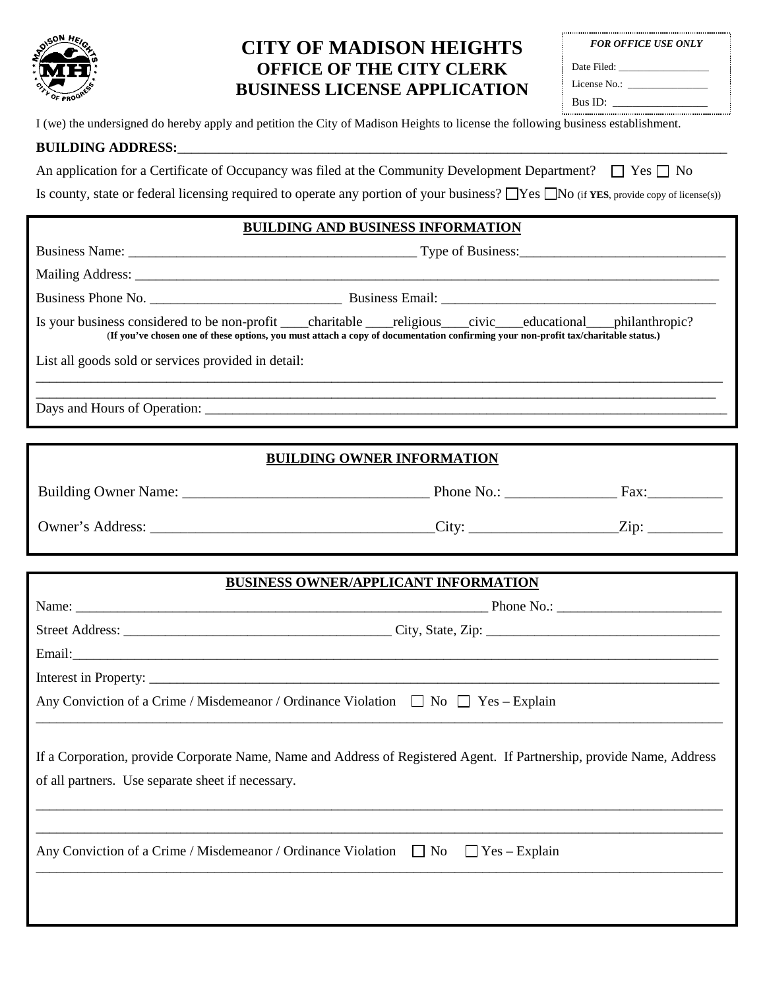

# **CITY OF MADISON HEIGHTS OFFICE OF THE CITY CLERK BUSINESS LICENSE APPLICATION**

| <b>FOR OFFICE USE ONLY</b> |  |
|----------------------------|--|
| Date Filed:                |  |
| License No.:               |  |
| Bus ID:                    |  |

I (we) the undersigned do hereby apply and petition the City of Madison Heights to license the following business establishment.

#### **BUILDING ADDRESS:**

An application for a Certificate of Occupancy was filed at the Community Development Department?  $\Box$  Yes  $\Box$  No

Is county, state or federal licensing required to operate any portion of your business?  $\Box$  Yes  $\Box$  No (if **YES**, provide copy of license(s))

## **BUILDING AND BUSINESS INFORMATION**

| (If you've chosen one of these options, you must attach a copy of documentation confirming your non-profit tax/charitable status.) |  |  |  |  |
|------------------------------------------------------------------------------------------------------------------------------------|--|--|--|--|
| List all goods sold or services provided in detail:                                                                                |  |  |  |  |
|                                                                                                                                    |  |  |  |  |

Days and Hours of Operation:

## **BUILDING OWNER INFORMATION**

| Building Owner Name: | Phone No.: | Fax:         |
|----------------------|------------|--------------|
| Owner's Address:     | City:      | $7_{\rm in}$ |

#### **BUSINESS OWNER/APPLICANT INFORMATION**

| Any Conviction of a Crime / Misdemeanor / Ordinance Violation $\Box$ No $\Box$ Yes - Explain                                                                               |  |
|----------------------------------------------------------------------------------------------------------------------------------------------------------------------------|--|
| If a Corporation, provide Corporate Name, Name and Address of Registered Agent. If Partnership, provide Name, Address<br>of all partners. Use separate sheet if necessary. |  |
| Any Conviction of a Crime / Misdemeanor / Ordinance Violation $\Box$ No $\Box$ Yes – Explain                                                                               |  |
|                                                                                                                                                                            |  |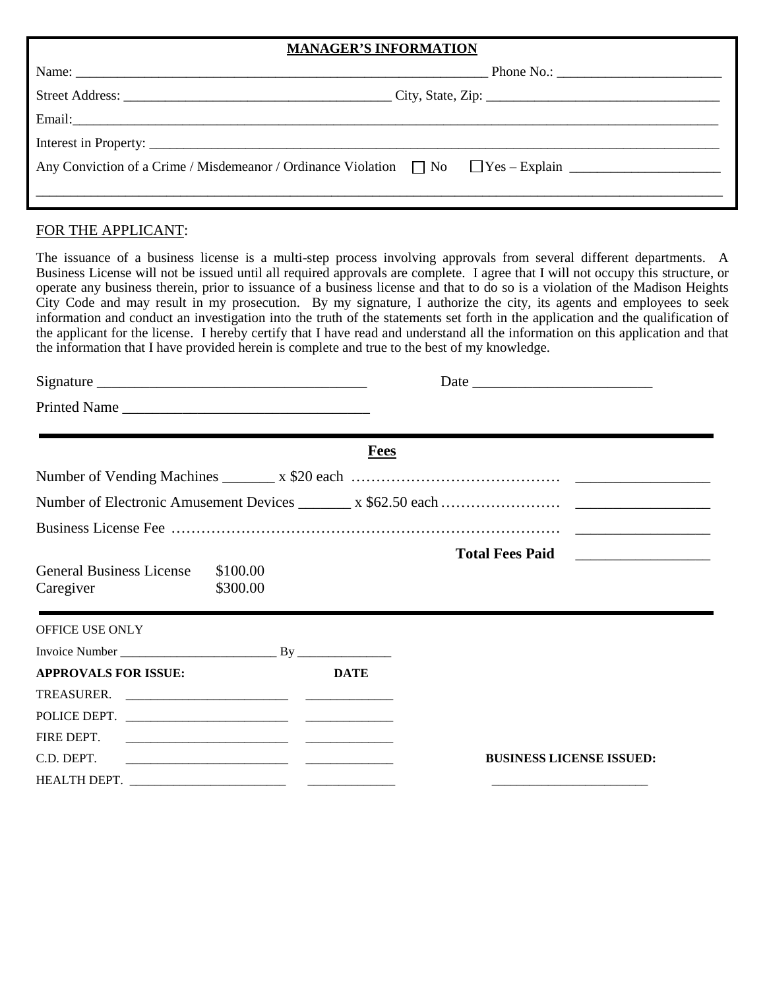#### **MANAGER'S INFORMATION**

| Name:                                                                                               | Phone No.: $\qquad \qquad$ |
|-----------------------------------------------------------------------------------------------------|----------------------------|
|                                                                                                     |                            |
|                                                                                                     |                            |
|                                                                                                     |                            |
| Any Conviction of a Crime / Misdemeanor / Ordinance Violation $\Box$ No $\Box$ Yes - Explain $\Box$ |                            |

# FOR THE APPLICANT:

The issuance of a business license is a multi-step process involving approvals from several different departments. A Business License will not be issued until all required approvals are complete. I agree that I will not occupy this structure, or operate any business therein, prior to issuance of a business license and that to do so is a violation of the Madison Heights City Code and may result in my prosecution. By my signature, I authorize the city, its agents and employees to seek information and conduct an investigation into the truth of the statements set forth in the application and the qualification of the applicant for the license. I hereby certify that I have read and understand all the information on this application and that the information that I have provided herein is complete and true to the best of my knowledge.

| Printed Name                                                         |             |                                                                                                                        |  |  |
|----------------------------------------------------------------------|-------------|------------------------------------------------------------------------------------------------------------------------|--|--|
|                                                                      | <b>Fees</b> | <u> 1989 - Johann Barbara, marka a shekara ta 1989 - Ann an tsaran a shekara tsa 1989 - Ann an tsaran 1989 - Ann a</u> |  |  |
|                                                                      |             |                                                                                                                        |  |  |
|                                                                      |             |                                                                                                                        |  |  |
|                                                                      |             |                                                                                                                        |  |  |
| <b>General Business License</b><br>\$100.00<br>Caregiver<br>\$300.00 |             | <u> 1980 - An de Amerikaansk kommunister (* 1980)</u>                                                                  |  |  |
| OFFICE USE ONLY                                                      |             |                                                                                                                        |  |  |
|                                                                      |             |                                                                                                                        |  |  |
| <b>APPROVALS FOR ISSUE:</b>                                          | <b>DATE</b> |                                                                                                                        |  |  |
|                                                                      |             |                                                                                                                        |  |  |
| POLICE DEPT.                                                         |             |                                                                                                                        |  |  |
| FIRE DEPT.                                                           |             |                                                                                                                        |  |  |
| C.D. DEPT.                                                           |             | <b>BUSINESS LICENSE ISSUED:</b>                                                                                        |  |  |
|                                                                      |             |                                                                                                                        |  |  |